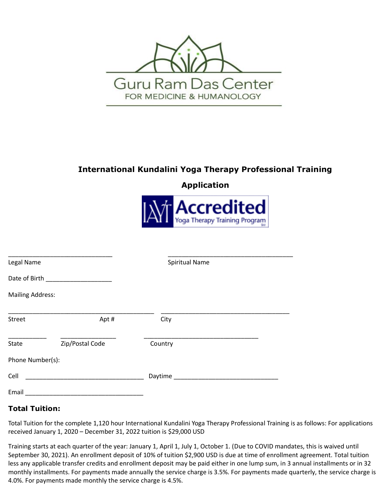

# **International Kundalini Yoga Therapy Professional Training**

**Application**



| Legal Name              |                                    | <b>Spiritual Name</b>                                                                                           |  |
|-------------------------|------------------------------------|-----------------------------------------------------------------------------------------------------------------|--|
|                         | Date of Birth <b>Exercise 2018</b> |                                                                                                                 |  |
| <b>Mailing Address:</b> |                                    |                                                                                                                 |  |
| <b>Street</b>           | Apt#                               | City                                                                                                            |  |
| State                   | Zip/Postal Code                    | Country                                                                                                         |  |
| Phone Number(s):        |                                    |                                                                                                                 |  |
| Cell                    |                                    | Daytime and the contract of the contract of the contract of the contract of the contract of the contract of the |  |
| Email                   |                                    |                                                                                                                 |  |

## **Total Tuition:**

Total Tuition for the complete 1,120 hour International Kundalini Yoga Therapy Professional Training is as follows: For applications received January 1, 2020 – December 31, 2022 tuition is \$29,000 USD

Training starts at each quarter of the year: January 1, April 1, July 1, October 1. (Due to COVID mandates, this is waived until September 30, 2021). An enrollment deposit of 10% of tuition \$2,900 USD is due at time of enrollment agreement. Total tuition less any applicable transfer credits and enrollment deposit may be paid either in one lump sum, in 3 annual installments or in 32 monthly installments. For payments made annually the service charge is 3.5%. For payments made quarterly, the service charge is 4.0%. For payments made monthly the service charge is 4.5%.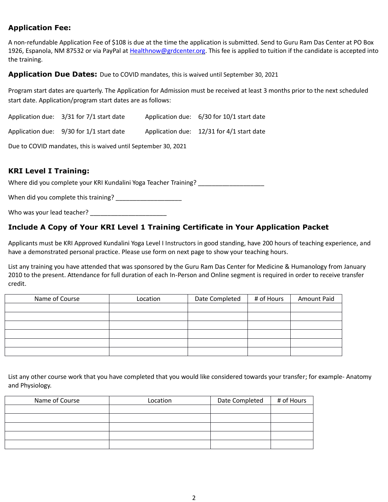## **Application Fee:**

A non-refundable Application Fee of \$108 is due at the time the application is submitted. Send to Guru Ram Das Center at PO Box 1926, Espanola, NM 87532 or via PayPal at [Healthnow@grdcenter.org.](mailto:Healthnow@grdcenter.org) This fee is applied to tuition if the candidate is accepted into the training.

#### **Application Due Dates:** Due to COVID mandates, this is waived until September 30, 2021

Program start dates are quarterly. The Application for Admission must be received at least 3 months prior to the next scheduled start date. Application/program start dates are as follows:

| Application due: 3/31 for 7/1 start date     | Application due: 6/30 for 10/1 start date   |
|----------------------------------------------|---------------------------------------------|
| Application due: $9/30$ for $1/1$ start date | Application due: $12/31$ for 4/1 start date |

Due to COVID mandates, this is waived until September 30, 2021

## **KRI Level I Training:**

Where did you complete your KRI Kundalini Yoga Teacher Training?

When did you complete this training? \_\_\_\_\_\_\_\_\_\_\_\_\_\_\_\_\_\_\_

Who was your lead teacher?

#### **Include A Copy of Your KRI Level 1 Training Certificate in Your Application Packet**

Applicants must be KRI Approved Kundalini Yoga Level I Instructors in good standing, have 200 hours of teaching experience, and have a demonstrated personal practice. Please use form on next page to show your teaching hours.

List any training you have attended that was sponsored by the Guru Ram Das Center for Medicine & Humanology from January 2010 to the present. Attendance for full duration of each In-Person and Online segment is required in order to receive transfer credit.

| Name of Course | Location | Date Completed | # of Hours | Amount Paid |
|----------------|----------|----------------|------------|-------------|
|                |          |                |            |             |
|                |          |                |            |             |
|                |          |                |            |             |
|                |          |                |            |             |
|                |          |                |            |             |
|                |          |                |            |             |

List any other course work that you have completed that you would like considered towards your transfer; for example- Anatomy and Physiology.

| Name of Course | Location | Date Completed | # of Hours |
|----------------|----------|----------------|------------|
|                |          |                |            |
|                |          |                |            |
|                |          |                |            |
|                |          |                |            |
|                |          |                |            |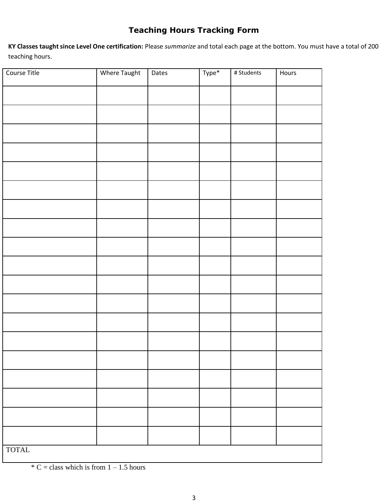# **Teaching Hours Tracking Form**

**KY Classes taught since Level One certification:** Please *summarize* and total each page at the bottom. You must have a total of 200 teaching hours.

| Course Title | Where Taught | Dates | Type* | # Students | Hours |
|--------------|--------------|-------|-------|------------|-------|
|              |              |       |       |            |       |
|              |              |       |       |            |       |
|              |              |       |       |            |       |
|              |              |       |       |            |       |
|              |              |       |       |            |       |
|              |              |       |       |            |       |
|              |              |       |       |            |       |
|              |              |       |       |            |       |
|              |              |       |       |            |       |
|              |              |       |       |            |       |
|              |              |       |       |            |       |
|              |              |       |       |            |       |
|              |              |       |       |            |       |
|              |              |       |       |            |       |
|              |              |       |       |            |       |
|              |              |       |       |            |       |
|              |              |       |       |            |       |
|              |              |       |       |            |       |
|              |              |       |       |            |       |
| <b>TOTAL</b> |              |       |       |            |       |

 $*$  C = class which is from 1 – 1.5 hours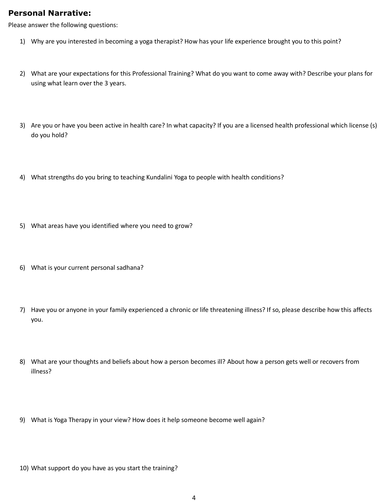## **Personal Narrative:**

Please answer the following questions:

- 1) Why are you interested in becoming a yoga therapist? How has your life experience brought you to this point?
- 2) What are your expectations for this Professional Training? What do you want to come away with? Describe your plans for using what learn over the 3 years.
- 3) Are you or have you been active in health care? In what capacity? If you are a licensed health professional which license (s) do you hold?
- 4) What strengths do you bring to teaching Kundalini Yoga to people with health conditions?
- 5) What areas have you identified where you need to grow?
- 6) What is your current personal sadhana?
- 7) Have you or anyone in your family experienced a chronic or life threatening illness? If so, please describe how this affects you.
- 8) What are your thoughts and beliefs about how a person becomes ill? About how a person gets well or recovers from illness?
- 9) What is Yoga Therapy in your view? How does it help someone become well again?
- 10) What support do you have as you start the training?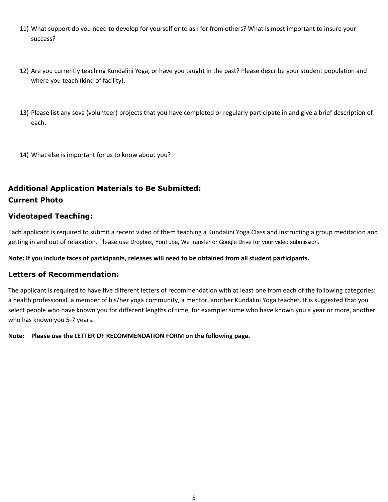- 11) What support do you need to develop for yourself or to ask for from others? What is most important to insure your success?
- 12) Are you currently teaching Kundalini Yoga, or have you taught in the past? Please describe your student population and where you teach (kind of facility).
- 13) Please list any seva (volunteer) projects that you have completed or regularly participate in and give a brief description of each.
- 14) What else is important for us to know about you?

# **Additional Application Materials to Be Submitted: Current Photo**

#### **Videotaped Teaching:**

Each applicant is required to submit a recent video of them teaching a Kundalini Yoga Class and instructing a group meditation and getting in and out of relaxation. Please use Dropbox, YouTube, WeTransfer or Google Drive for your video submission.

**Note: If you include faces of participants, releases will need to be obtained from all student participants.**

#### **Letters of Recommendation:**

The applicant is required to have five different letters of recommendation with at least one from each of the following categories: a health professional, a member of his/her yoga community, a mentor, another Kundalini Yoga teacher. It is suggested that you select people who have known you for different lengths of time, for example: some who have known you a year or more, another who has known you 5-7 years.

**Note: Please use the LETTER OF RECOMMENDATION FORM on the following page.**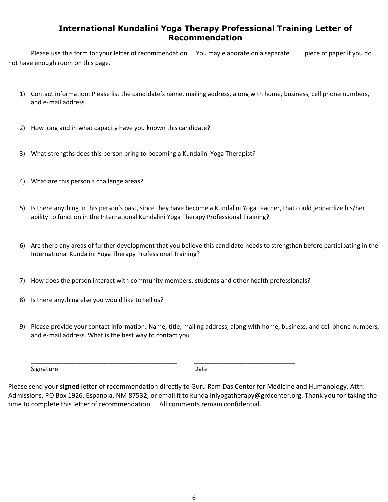## **International Kundalini Yoga Therapy Professional Training Letter of Recommendation**

Please use this form for your letter of recommendation. You may elaborate on a separate piece of paper if you do not have enough room on this page.

- 1) Contact information: Please list the candidate's name, mailing address, along with home, business, cell phone numbers, and e-mail address.
- 2) How long and in what capacity have you known this candidate?
- 3) What strengths does this person bring to becoming a Kundalini Yoga Therapist?
- 4) What are this person's challenge areas?
- 5) Is there anything in this person's past, since they have become a Kundalini Yoga teacher, that could jeopardize his/her ability to function in the International Kundalini Yoga Therapy Professional Training?
- 6) Are there any areas of further development that you believe this candidate needs to strengthen before participating in the International Kundalini Yoga Therapy Professional Training?
- 7) How does the person interact with community members, students and other health professionals?

\_\_\_\_\_\_\_\_\_\_\_\_\_\_\_\_\_\_\_\_\_\_\_\_\_\_\_\_\_\_\_\_\_\_\_\_\_\_\_\_\_\_ \_\_\_\_\_\_\_\_\_\_\_\_\_\_\_\_\_\_\_\_\_\_\_\_\_\_\_\_\_

- 8) Is there anything else you would like to tell us?
- 9) Please provide your contact information: Name, title, mailing address, along with home, business, and cell phone numbers, and e-mail address. What is the best way to contact you?

Signature Date Date Date

Please send your **signed** letter of recommendation directly to Guru Ram Das Center for Medicine and Humanology, Attn: Admissions, PO Box 1926, Espanola, NM 87532, or email it to kundaliniyogatherapy@grdcenter.org. Thank you for taking the time to complete this letter of recommendation. All comments remain confidential.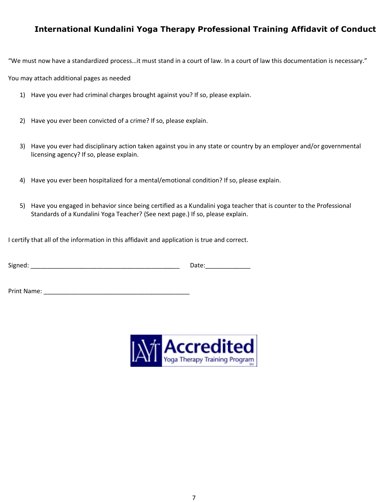## **International Kundalini Yoga Therapy Professional Training Affidavit of Conduct**

"We must now have a standardized process…it must stand in a court of law. In a court of law this documentation is necessary."

You may attach additional pages as needed

- 1) Have you ever had criminal charges brought against you? If so, please explain.
- 2) Have you ever been convicted of a crime? If so, please explain.
- 3) Have you ever had disciplinary action taken against you in any state or country by an employer and/or governmental licensing agency? If so, please explain.
- 4) Have you ever been hospitalized for a mental/emotional condition? If so, please explain.
- 5) Have you engaged in behavior since being certified as a Kundalini yoga teacher that is counter to the Professional Standards of a Kundalini Yoga Teacher? (See next page.) If so, please explain.

I certify that all of the information in this affidavit and application is true and correct.

| <b></b><br>Signed: |  |
|--------------------|--|
|--------------------|--|

Print Name: \_\_\_\_\_\_\_\_\_\_\_\_\_\_\_\_\_\_\_\_\_\_\_\_\_\_\_\_\_\_\_\_\_\_\_\_\_\_\_\_\_\_

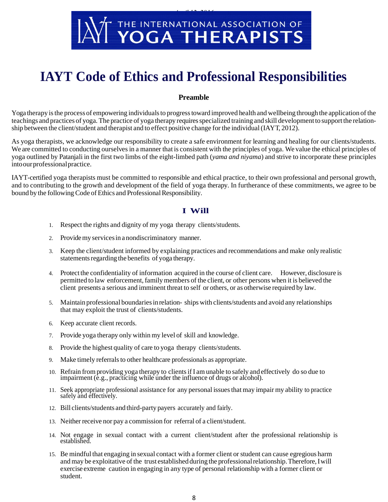

# **IAYT Code of Ethics and Professional Responsibilities**

#### **Preamble**

Yoga therapy is the process of empowering individuals to progress toward improved health and wellbeing through the application of the teachings and practices of yoga. The practice of yoga therapy requiresspecialized training and skill developmentto supportthe relationship between the client/student and therapist and to effect positive change for the individual (IAYT, 2012).

As yoga therapists, we acknowledge our responsibility to create a safe environment for learning and healing for our clients/students. We are committed to conducting ourselves in a manner that is consistent with the principles of yoga. We value the ethical principles of yoga outlined by Patanjali in the first two limbs of the eight-limbed path (*yama and niyama*) and strive to incorporate these principles intoourprofessionalpractice.

IAYT-certified yoga therapists must be committed to responsible and ethical practice, to their own professional and personal growth, and to contributing to the growth and development of the field of yoga therapy. In furtherance of these commitments, we agree to be bound by the following Code of Ethics and Professional Responsibility.

#### **I Will**

- 1. Respect the rights and dignity of my yoga therapy clients/students.
- 2. Providemy servicesin anondiscriminatory manner.
- 3. Keep the client/student informed by explaining practices and recommendations and make only realistic statements regarding the benefits of yoga therapy.
- 4. Protectthe confidentiality of information acquired in the course of client care. However, disclosure is permitted to law enforcement,family members of the client, or other persons when it is believed the client presents a serious and imminent threat to self or others, or as otherwise required by law.
- 5. Maintain professional boundariesinrelation- ships with clients/students and avoid any relationships that may exploit the trust of clients/students.
- 6. Keep accurate client records.
- 7. Provide yoga therapy only within my level of skill and knowledge.
- 8. Provide the highest quality of care to yoga therapy clients/students.
- 9. Make timely referrals to other healthcare professionals as appropriate.
- 10. Refrain from providing yoga therapy to clientsif I amunable to safely and effectively do so due to impairment (e.g., practicing while under the influence of drugs or alcohol).
- 11. Seek appropriate professional assistance for any personal issuesthatmay impair my ability to practice safely and effectively.
- 12. Bill clients/students and third-party payers accurately and fairly.
- 13. Neither receive nor pay a commission for referral of a client/student.
- 14. Not engage in sexual contact with a current client/student after the professional relationship is established.
- 15. Be mindful that engaging in sexual contact with a former client orstudent can cause egregious harm and may be exploitative of the trust established during the professional relationship. Therefore, I will exercise extreme caution in engaging in any type of personal relationship with a former client or student.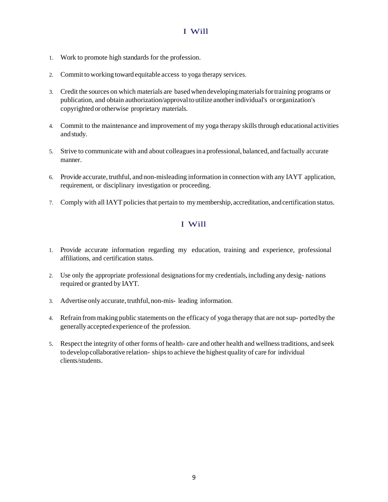#### I Will

- 1. Work to promote high standards for the profession.
- 2. Commit to working toward equitable access to yoga therapy services.
- 3. Credit the sources on which materials are basedwhendevelopingmaterialsfortraining programs or publication, and obtain authorization/approval to utilize another individual's or organization's copyrighted orotherwise proprietary materials.
- 4. Commit to the maintenance and improvement of my yoga therapy skills through educational activities andstudy.
- 5. Strive to communicate with and about colleaguesina professional, balanced, and factually accurate manner.
- 6. Provide accurate, truthful, and non-misleading information in connection with any IAYT application, requirement, or disciplinary investigation or proceeding.
- 7. Comply with all IAYT policiesthat pertain to mymembership, accreditation, andcertification status.

## I Will

- 1. Provide accurate information regarding my education, training and experience, professional affiliations, and certification status.
- 2. Use only the appropriate professional designationsformy credentials,including any desig- nations required or granted by IAYT.
- 3. Advertise only accurate, truthful, non-mis-leading information.
- 4. Refrain from making public statements on the efficacy of yoga therapy that are notsup- portedby the generally acceptedexperience of the profession.
- 5. Respect the integrity of other forms of health- care and other health and wellnesstraditions, and seek to developcollaborative relation- shipsto achieve the highest quality of care for individual clients/students.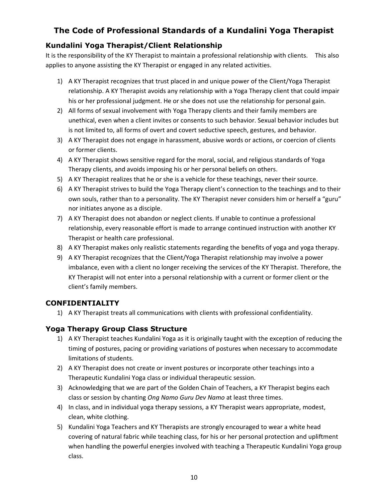# **The Code of Professional Standards of a Kundalini Yoga Therapist**

## **Kundalini Yoga Therapist/Client Relationship**

It is the responsibility of the KY Therapist to maintain a professional relationship with clients. This also applies to anyone assisting the KY Therapist or engaged in any related activities.

- 1) A KY Therapist recognizes that trust placed in and unique power of the Client/Yoga Therapist relationship. A KY Therapist avoids any relationship with a Yoga Therapy client that could impair his or her professional judgment. He or she does not use the relationship for personal gain.
- 2) All forms of sexual involvement with Yoga Therapy clients and their family members are unethical, even when a client invites or consents to such behavior. Sexual behavior includes but is not limited to, all forms of overt and covert seductive speech, gestures, and behavior.
- 3) A KY Therapist does not engage in harassment, abusive words or actions, or coercion of clients or former clients.
- 4) A KY Therapist shows sensitive regard for the moral, social, and religious standards of Yoga Therapy clients, and avoids imposing his or her personal beliefs on others.
- 5) A KY Therapist realizes that he or she is a vehicle for these teachings, never their source.
- 6) A KY Therapist strives to build the Yoga Therapy client's connection to the teachings and to their own souls, rather than to a personality. The KY Therapist never considers him or herself a "guru" nor initiates anyone as a disciple.
- 7) A KY Therapist does not abandon or neglect clients. If unable to continue a professional relationship, every reasonable effort is made to arrange continued instruction with another KY Therapist or health care professional.
- 8) A KY Therapist makes only realistic statements regarding the benefits of yoga and yoga therapy.
- 9) A KY Therapist recognizes that the Client/Yoga Therapist relationship may involve a power imbalance, even with a client no longer receiving the services of the KY Therapist. Therefore, the KY Therapist will not enter into a personal relationship with a current or former client or the client's family members.

#### **CONFIDENTIALITY**

1) A KY Therapist treats all communications with clients with professional confidentiality.

## **Yoga Therapy Group Class Structure**

- 1) A KY Therapist teaches Kundalini Yoga as it is originally taught with the exception of reducing the timing of postures, pacing or providing variations of postures when necessary to accommodate limitations of students.
- 2) A KY Therapist does not create or invent postures or incorporate other teachings into a Therapeutic Kundalini Yoga class or individual therapeutic session.
- 3) Acknowledging that we are part of the Golden Chain of Teachers, a KY Therapist begins each class or session by chanting *Ong Namo Guru Dev Namo* at least three times.
- 4) In class, and in individual yoga therapy sessions, a KY Therapist wears appropriate, modest, clean, white clothing.
- 5) Kundalini Yoga Teachers and KY Therapists are strongly encouraged to wear a white head covering of natural fabric while teaching class, for his or her personal protection and upliftment when handling the powerful energies involved with teaching a Therapeutic Kundalini Yoga group class.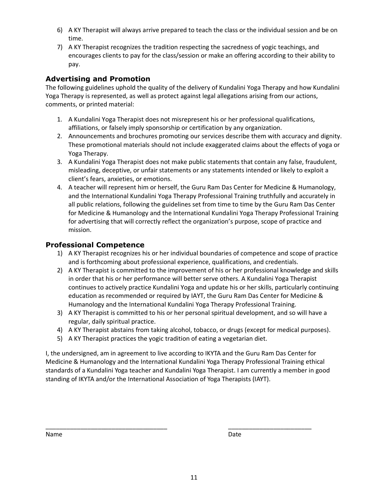- 6) A KY Therapist will always arrive prepared to teach the class or the individual session and be on time.
- 7) A KY Therapist recognizes the tradition respecting the sacredness of yogic teachings, and encourages clients to pay for the class/session or make an offering according to their ability to pay.

## **Advertising and Promotion**

The following guidelines uphold the quality of the delivery of Kundalini Yoga Therapy and how Kundalini Yoga Therapy is represented, as well as protect against legal allegations arising from our actions, comments, or printed material:

- 1. A Kundalini Yoga Therapist does not misrepresent his or her professional qualifications, affiliations, or falsely imply sponsorship or certification by any organization.
- 2. Announcements and brochures promoting our services describe them with accuracy and dignity. These promotional materials should not include exaggerated claims about the effects of yoga or Yoga Therapy.
- 3. A Kundalini Yoga Therapist does not make public statements that contain any false, fraudulent, misleading, deceptive, or unfair statements or any statements intended or likely to exploit a client's fears, anxieties, or emotions.
- 4. A teacher will represent him or herself, the Guru Ram Das Center for Medicine & Humanology, and the International Kundalini Yoga Therapy Professional Training truthfully and accurately in all public relations, following the guidelines set from time to time by the Guru Ram Das Center for Medicine & Humanology and the International Kundalini Yoga Therapy Professional Training for advertising that will correctly reflect the organization's purpose, scope of practice and mission.

#### **Professional Competence**

- 1) A KY Therapist recognizes his or her individual boundaries of competence and scope of practice and is forthcoming about professional experience, qualifications, and credentials.
- 2) A KY Therapist is committed to the improvement of his or her professional knowledge and skills in order that his or her performance will better serve others. A Kundalini Yoga Therapist continues to actively practice Kundalini Yoga and update his or her skills, particularly continuing education as recommended or required by IAYT, the Guru Ram Das Center for Medicine & Humanology and the International Kundalini Yoga Therapy Professional Training.
- 3) A KY Therapist is committed to his or her personal spiritual development, and so will have a regular, daily spiritual practice.
- 4) A KY Therapist abstains from taking alcohol, tobacco, or drugs (except for medical purposes).
- 5) A KY Therapist practices the yogic tradition of eating a vegetarian diet.

I, the undersigned, am in agreement to live according to IKYTA and the Guru Ram Das Center for Medicine & Humanology and the International Kundalini Yoga Therapy Professional Training ethical standards of a Kundalini Yoga teacher and Kundalini Yoga Therapist. I am currently a member in good standing of IKYTA and/or the International Association of Yoga Therapists (IAYT).

\_\_\_\_\_\_\_\_\_\_\_\_\_\_\_\_\_\_\_\_\_\_\_\_\_\_\_\_\_\_\_\_\_\_\_ \_\_\_\_\_\_\_\_\_\_\_\_\_\_\_\_\_\_\_\_\_\_\_\_

| Name | Date |
|------|------|
|      |      |